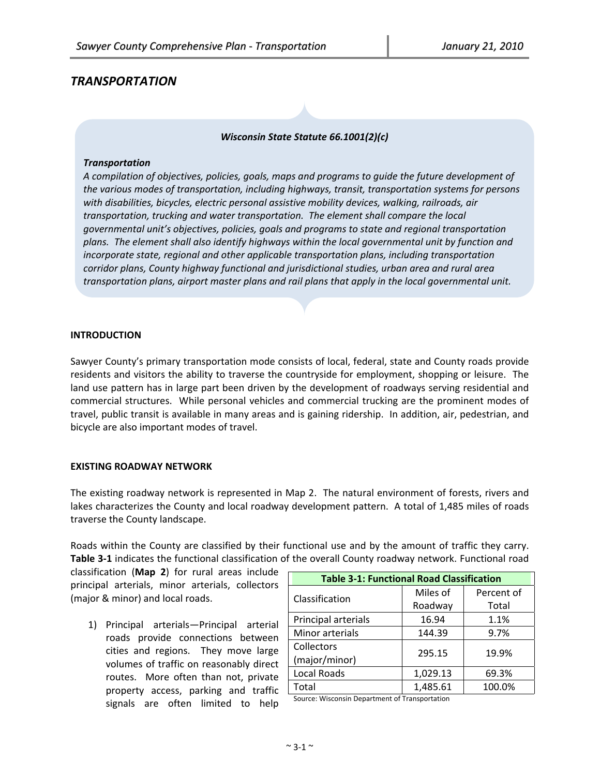# *TRANSPORTATION*

### *Wisconsin State Statute 66.1001(2)(c)*

#### *Transportation*

*A compilation of objectives, policies, goals, maps and programs to guide the future development of the various modes of transportation, including highways, transit, transportation systems for persons with disabilities, bicycles, electric personal assistive mobility devices, walking, railroads, air transportation, trucking and water transportation. The element shall compare the local governmental unit's objectives, policies, goals and programs to state and regional transportation plans. The element shall also identify highways within the local governmental unit by function and incorporate state, regional and other applicable transportation plans, including transportation corridor plans, County highway functional and jurisdictional studies, urban area and rural area transportation plans, airport master plans and rail plans that apply in the local governmental unit.*

#### **INTRODUCTION**

Sawyer County's primary transportation mode consists of local, federal, state and County roads provide residents and visitors the ability to traverse the countryside for employment, shopping or leisure. The land use pattern has in large part been driven by the development of roadways serving residential and commercial structures. While personal vehicles and commercial trucking are the prominent modes of travel, public transit is available in many areas and is gaining ridership. In addition, air, pedestrian, and bicycle are also important modes of travel.

#### **EXISTING ROADWAY NETWORK**

The existing roadway network is represented in Map 2. The natural environment of forests, rivers and lakes characterizes the County and local roadway development pattern. A total of 1,485 miles of roads traverse the County landscape.

Roads within the County are classified by their functional use and by the amount of traffic they carry. **Table 3‐1** indicates the functional classification of the overall County roadway network. Functional road

classification (**Map 2**) for rural areas include principal arterials, minor arterials, collectors (major & minor) and local roads.

1) Principal arterials—Principal arterial roads provide connections between cities and regions. They move large volumes of traffic on reasonably direct routes. More often than not, private property access, parking and traffic signals are often limited to help

| <b>Table 3-1: Functional Road Classification</b> |          |            |  |  |
|--------------------------------------------------|----------|------------|--|--|
| Classification                                   | Miles of | Percent of |  |  |
|                                                  | Roadway  | Total      |  |  |
| Principal arterials                              | 16.94    | 1.1%       |  |  |
| Minor arterials                                  | 144.39   | 9.7%       |  |  |
| Collectors                                       | 295.15   | 19.9%      |  |  |
| (major/minor)                                    |          |            |  |  |
| Local Roads                                      | 1,029.13 | 69.3%      |  |  |
| Total                                            | 1,485.61 | 100.0%     |  |  |

Source: Wisconsin Department of Transportation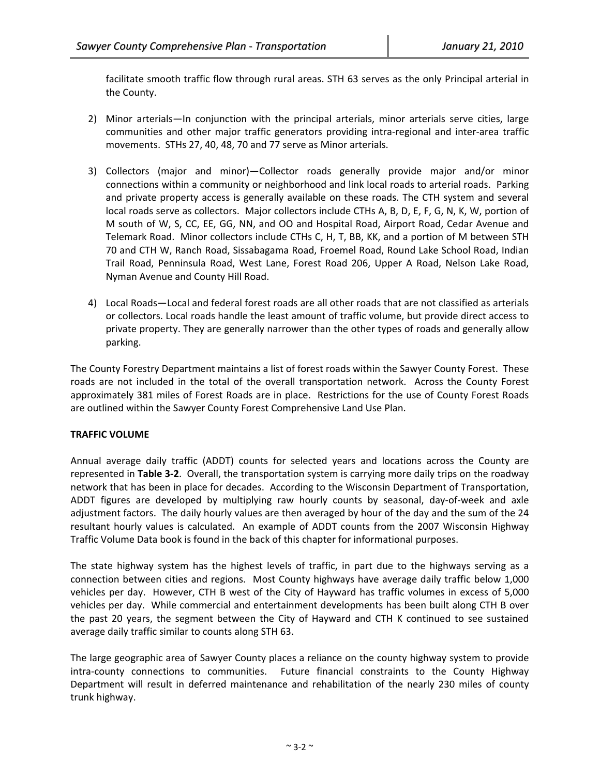facilitate smooth traffic flow through rural areas. STH 63 serves as the only Principal arterial in the County.

- 2) Minor arterials—In conjunction with the principal arterials, minor arterials serve cities, large communities and other major traffic generators providing intra‐regional and inter‐area traffic movements. STHs 27, 40, 48, 70 and 77 serve as Minor arterials.
- 3) Collectors (major and minor)—Collector roads generally provide major and/or minor connections within a community or neighborhood and link local roads to arterial roads. Parking and private property access is generally available on these roads. The CTH system and several local roads serve as collectors. Major collectors include CTHs A, B, D, E, F, G, N, K, W, portion of M south of W, S, CC, EE, GG, NN, and OO and Hospital Road, Airport Road, Cedar Avenue and Telemark Road. Minor collectors include CTHs C, H, T, BB, KK, and a portion of M between STH 70 and CTH W, Ranch Road, Sissabagama Road, Froemel Road, Round Lake School Road, Indian Trail Road, Penninsula Road, West Lane, Forest Road 206, Upper A Road, Nelson Lake Road, Nyman Avenue and County Hill Road.
- 4) Local Roads—Local and federal forest roads are all other roads that are not classified as arterials or collectors. Local roads handle the least amount of traffic volume, but provide direct access to private property. They are generally narrower than the other types of roads and generally allow parking.

The County Forestry Department maintains a list of forest roads within the Sawyer County Forest. These roads are not included in the total of the overall transportation network. Across the County Forest approximately 381 miles of Forest Roads are in place. Restrictions for the use of County Forest Roads are outlined within the Sawyer County Forest Comprehensive Land Use Plan.

### **TRAFFIC VOLUME**

Annual average daily traffic (ADDT) counts for selected years and locations across the County are represented in **Table 3‐2**. Overall, the transportation system is carrying more daily trips on the roadway network that has been in place for decades. According to the Wisconsin Department of Transportation, ADDT figures are developed by multiplying raw hourly counts by seasonal, day-of-week and axle adjustment factors. The daily hourly values are then averaged by hour of the day and the sum of the 24 resultant hourly values is calculated. An example of ADDT counts from the 2007 Wisconsin Highway Traffic Volume Data book is found in the back of this chapter for informational purposes.

The state highway system has the highest levels of traffic, in part due to the highways serving as a connection between cities and regions. Most County highways have average daily traffic below 1,000 vehicles per day. However, CTH B west of the City of Hayward has traffic volumes in excess of 5,000 vehicles per day. While commercial and entertainment developments has been built along CTH B over the past 20 years, the segment between the City of Hayward and CTH K continued to see sustained average daily traffic similar to counts along STH 63.

The large geographic area of Sawyer County places a reliance on the county highway system to provide intra-county connections to communities. Future financial constraints to the County Highway Department will result in deferred maintenance and rehabilitation of the nearly 230 miles of county trunk highway.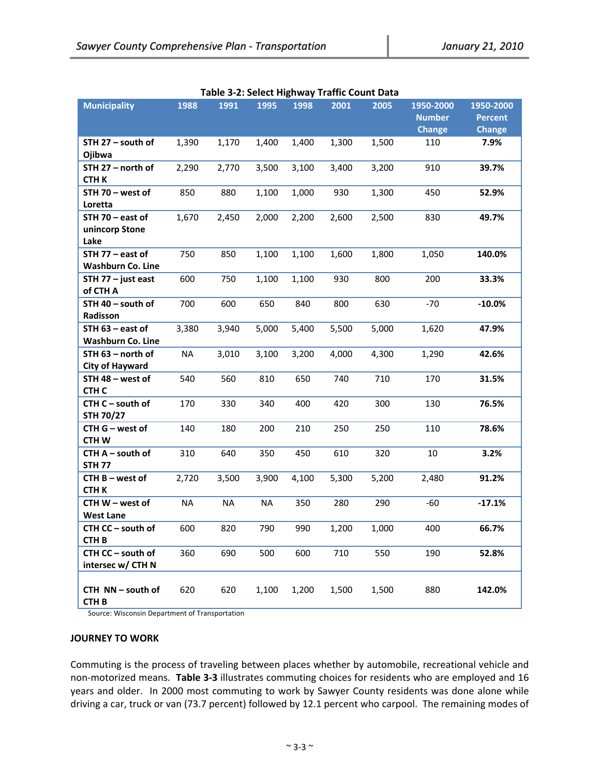| <b>Municipality</b>                          | 1988      | 1991      | 1995      | 1998  | 2001  | 2005  | 1950-2000     | 1950-2000      |
|----------------------------------------------|-----------|-----------|-----------|-------|-------|-------|---------------|----------------|
|                                              |           |           |           |       |       |       | <b>Number</b> | <b>Percent</b> |
|                                              |           |           |           |       |       |       | <b>Change</b> | <b>Change</b>  |
| STH 27 - south of<br>Ojibwa                  | 1,390     | 1,170     | 1,400     | 1,400 | 1,300 | 1,500 | 110           | 7.9%           |
| STH 27 - north of<br><b>CTHK</b>             | 2,290     | 2,770     | 3,500     | 3,100 | 3,400 | 3,200 | 910           | 39.7%          |
| STH 70 - west of<br>Loretta                  | 850       | 880       | 1,100     | 1,000 | 930   | 1,300 | 450           | 52.9%          |
| STH 70 - east of<br>unincorp Stone<br>Lake   | 1,670     | 2,450     | 2,000     | 2,200 | 2,600 | 2,500 | 830           | 49.7%          |
| STH 77 - east of<br><b>Washburn Co. Line</b> | 750       | 850       | 1,100     | 1,100 | 1,600 | 1,800 | 1,050         | 140.0%         |
| STH 77 - just east<br>of CTH A               | 600       | 750       | 1,100     | 1,100 | 930   | 800   | 200           | 33.3%          |
| STH 40 - south of<br>Radisson                | 700       | 600       | 650       | 840   | 800   | 630   | $-70$         | $-10.0%$       |
| STH 63 - east of<br><b>Washburn Co. Line</b> | 3,380     | 3,940     | 5,000     | 5,400 | 5,500 | 5,000 | 1,620         | 47.9%          |
| STH 63 - north of<br><b>City of Hayward</b>  | <b>NA</b> | 3,010     | 3,100     | 3,200 | 4,000 | 4,300 | 1,290         | 42.6%          |
| STH 48 - west of<br>CTH <sub>C</sub>         | 540       | 560       | 810       | 650   | 740   | 710   | 170           | 31.5%          |
| CTH C - south of<br><b>STH 70/27</b>         | 170       | 330       | 340       | 400   | 420   | 300   | 130           | 76.5%          |
| CTH G - west of<br><b>CTHW</b>               | 140       | 180       | 200       | 210   | 250   | 250   | 110           | 78.6%          |
| CTH A - south of<br><b>STH 77</b>            | 310       | 640       | 350       | 450   | 610   | 320   | $10\,$        | 3.2%           |
| CTH B - west of<br>СТН К                     | 2,720     | 3,500     | 3,900     | 4,100 | 5,300 | 5,200 | 2,480         | 91.2%          |
| CTH W - west of<br>West Lane                 | <b>NA</b> | <b>NA</b> | <b>NA</b> | 350   | 280   | 290   | $-60$         | $-17.1%$       |
| CTH CC - south of<br><b>CTH B</b>            | 600       | 820       | 790       | 990   | 1,200 | 1,000 | 400           | 66.7%          |
| CTH CC - south of<br>intersec w/ CTH N       | 360       | 690       | 500       | 600   | 710   | 550   | 190           | 52.8%          |
| CTH NN - south of<br>CTH <sub>B</sub>        | 620       | 620       | 1,100     | 1,200 | 1,500 | 1,500 | 880           | 142.0%         |

Source: Wisconsin Department of Transportation

#### **JOURNEY TO WORK**

Commuting is the process of traveling between places whether by automobile, recreational vehicle and non‐motorized means. **Table 3‐3** illustrates commuting choices for residents who are employed and 16 years and older. In 2000 most commuting to work by Sawyer County residents was done alone while driving a car, truck or van (73.7 percent) followed by 12.1 percent who carpool. The remaining modes of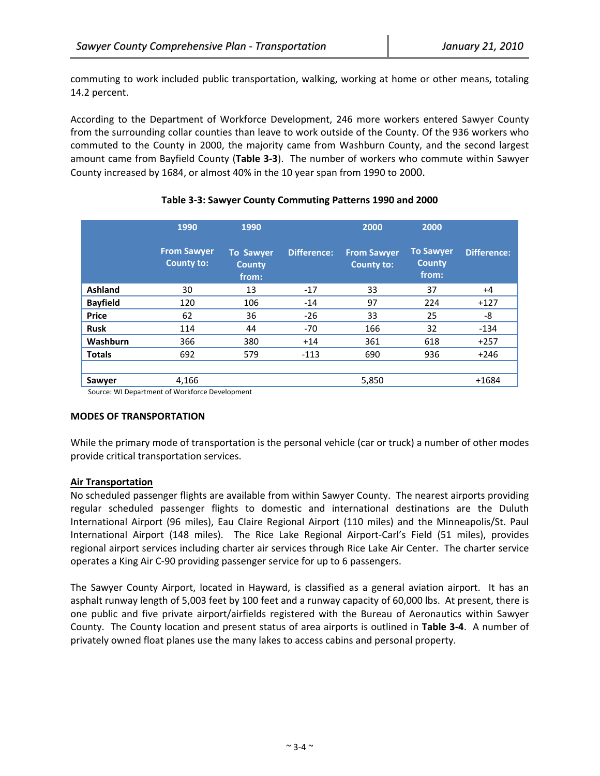commuting to work included public transportation, walking, working at home or other means, totaling 14.2 percent.

According to the Department of Workforce Development, 246 more workers entered Sawyer County from the surrounding collar counties than leave to work outside of the County. Of the 936 workers who commuted to the County in 2000, the majority came from Washburn County, and the second largest amount came from Bayfield County (**Table 3‐3**). The number of workers who commute within Sawyer County increased by 1684, or almost 40% in the 10 year span from 1990 to 2000.

|                 | 1990                                    | 1990                                       |                    | 2000                                    | 2000                                       |                    |
|-----------------|-----------------------------------------|--------------------------------------------|--------------------|-----------------------------------------|--------------------------------------------|--------------------|
|                 | <b>From Sawyer</b><br><b>County to:</b> | <b>To Sawyer</b><br><b>County</b><br>from: | <b>Difference:</b> | <b>From Sawyer</b><br><b>County to:</b> | <b>To Sawyer</b><br><b>County</b><br>from: | <b>Difference:</b> |
| Ashland         | 30                                      | 13                                         | $-17$              | 33                                      | 37                                         | $+4$               |
| <b>Bayfield</b> | 120                                     | 106                                        | $-14$              | 97                                      | 224                                        | $+127$             |
| <b>Price</b>    | 62                                      | 36                                         | $-26$              | 33                                      | 25                                         | -8                 |
| <b>Rusk</b>     | 114                                     | 44                                         | $-70$              | 166                                     | 32                                         | $-134$             |
| Washburn        | 366                                     | 380                                        | $+14$              | 361                                     | 618                                        | $+257$             |
| <b>Totals</b>   | 692                                     | 579                                        | $-113$             | 690                                     | 936                                        | $+246$             |
|                 |                                         |                                            |                    |                                         |                                            |                    |
| Sawyer          | 4,166                                   |                                            |                    | 5,850                                   |                                            | $+1684$            |

## **Table 3‐3: Sawyer County Commuting Patterns 1990 and 2000**

Source: WI Department of Workforce Development

### **MODES OF TRANSPORTATION**

While the primary mode of transportation is the personal vehicle (car or truck) a number of other modes provide critical transportation services.

## **Air Transportation**

No scheduled passenger flights are available from within Sawyer County. The nearest airports providing regular scheduled passenger flights to domestic and international destinations are the Duluth International Airport (96 miles), Eau Claire Regional Airport (110 miles) and the Minneapolis/St. Paul International Airport (148 miles). The Rice Lake Regional Airport-Carl's Field (51 miles), provides regional airport services including charter air services through Rice Lake Air Center. The charter service operates a King Air C‐90 providing passenger service for up to 6 passengers.

The Sawyer County Airport, located in Hayward, is classified as a general aviation airport. It has an asphalt runway length of 5,003 feet by 100 feet and a runway capacity of 60,000 lbs. At present, there is one public and five private airport/airfields registered with the Bureau of Aeronautics within Sawyer County. The County location and present status of area airports is outlined in **Table 3‐4**. A number of privately owned float planes use the many lakes to access cabins and personal property.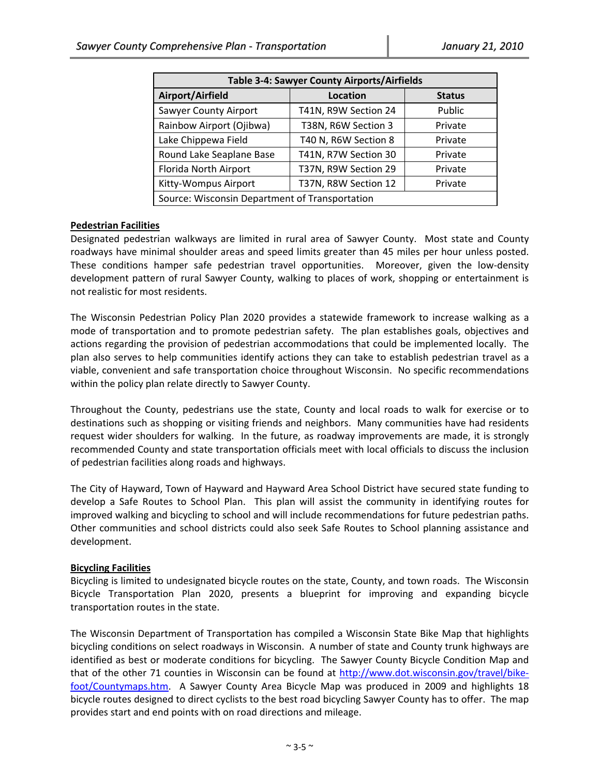| Table 3-4: Sawyer County Airports/Airfields    |                      |               |  |  |  |
|------------------------------------------------|----------------------|---------------|--|--|--|
| Airport/Airfield                               | Location             | <b>Status</b> |  |  |  |
| Sawyer County Airport                          | T41N, R9W Section 24 | Public        |  |  |  |
| Rainbow Airport (Ojibwa)                       | T38N, R6W Section 3  | Private       |  |  |  |
| Lake Chippewa Field                            | T40 N, R6W Section 8 | Private       |  |  |  |
| Round Lake Seaplane Base                       | T41N, R7W Section 30 | Private       |  |  |  |
| Florida North Airport                          | T37N, R9W Section 29 | Private       |  |  |  |
| Kitty-Wompus Airport                           | T37N, R8W Section 12 | Private       |  |  |  |
| Source: Wisconsin Department of Transportation |                      |               |  |  |  |

### **Pedestrian Facilities**

Designated pedestrian walkways are limited in rural area of Sawyer County. Most state and County roadways have minimal shoulder areas and speed limits greater than 45 miles per hour unless posted. These conditions hamper safe pedestrian travel opportunities. Moreover, given the low-density development pattern of rural Sawyer County, walking to places of work, shopping or entertainment is not realistic for most residents.

The Wisconsin Pedestrian Policy Plan 2020 provides a statewide framework to increase walking as a mode of transportation and to promote pedestrian safety. The plan establishes goals, objectives and actions regarding the provision of pedestrian accommodations that could be implemented locally. The plan also serves to help communities identify actions they can take to establish pedestrian travel as a viable, convenient and safe transportation choice throughout Wisconsin. No specific recommendations within the policy plan relate directly to Sawyer County.

Throughout the County, pedestrians use the state, County and local roads to walk for exercise or to destinations such as shopping or visiting friends and neighbors. Many communities have had residents request wider shoulders for walking. In the future, as roadway improvements are made, it is strongly recommended County and state transportation officials meet with local officials to discuss the inclusion of pedestrian facilities along roads and highways.

The City of Hayward, Town of Hayward and Hayward Area School District have secured state funding to develop a Safe Routes to School Plan. This plan will assist the community in identifying routes for improved walking and bicycling to school and will include recommendations for future pedestrian paths. Other communities and school districts could also seek Safe Routes to School planning assistance and development.

### **Bicycling Facilities**

Bicycling is limited to undesignated bicycle routes on the state, County, and town roads. The Wisconsin Bicycle Transportation Plan 2020, presents a blueprint for improving and expanding bicycle transportation routes in the state.

The Wisconsin Department of Transportation has compiled a Wisconsin State Bike Map that highlights bicycling conditions on select roadways in Wisconsin. A number of state and County trunk highways are identified as best or moderate conditions for bicycling. The Sawyer County Bicycle Condition Map and that of the other 71 counties in Wisconsin can be found at http://www.dot.wisconsin.gov/travel/bikefoot/Countymaps.htm. A Sawyer County Area Bicycle Map was produced in 2009 and highlights 18 bicycle routes designed to direct cyclists to the best road bicycling Sawyer County has to offer. The map provides start and end points with on road directions and mileage.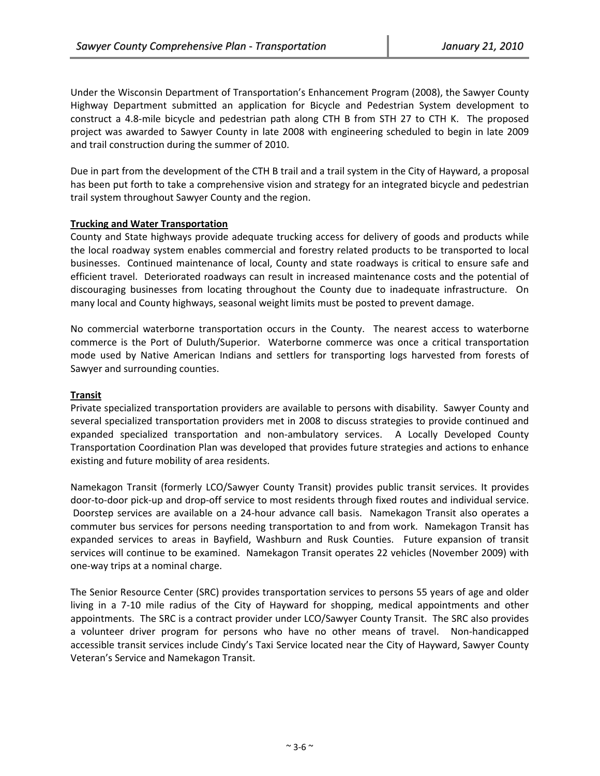Under the Wisconsin Department of Transportation's Enhancement Program (2008), the Sawyer County Highway Department submitted an application for Bicycle and Pedestrian System development to construct a 4.8-mile bicycle and pedestrian path along CTH B from STH 27 to CTH K. The proposed project was awarded to Sawyer County in late 2008 with engineering scheduled to begin in late 2009 and trail construction during the summer of 2010.

Due in part from the development of the CTH B trail and a trail system in the City of Hayward, a proposal has been put forth to take a comprehensive vision and strategy for an integrated bicycle and pedestrian trail system throughout Sawyer County and the region.

### **Trucking and Water Transportation**

County and State highways provide adequate trucking access for delivery of goods and products while the local roadway system enables commercial and forestry related products to be transported to local businesses. Continued maintenance of local, County and state roadways is critical to ensure safe and efficient travel. Deteriorated roadways can result in increased maintenance costs and the potential of discouraging businesses from locating throughout the County due to inadequate infrastructure. On many local and County highways, seasonal weight limits must be posted to prevent damage.

No commercial waterborne transportation occurs in the County. The nearest access to waterborne commerce is the Port of Duluth/Superior. Waterborne commerce was once a critical transportation mode used by Native American Indians and settlers for transporting logs harvested from forests of Sawyer and surrounding counties.

#### **Transit**

Private specialized transportation providers are available to persons with disability. Sawyer County and several specialized transportation providers met in 2008 to discuss strategies to provide continued and expanded specialized transportation and non-ambulatory services. A Locally Developed County Transportation Coordination Plan was developed that provides future strategies and actions to enhance existing and future mobility of area residents.

Namekagon Transit (formerly LCO/Sawyer County Transit) provides public transit services. It provides door-to-door pick-up and drop-off service to most residents through fixed routes and individual service. Doorstep services are available on a 24‐hour advance call basis. Namekagon Transit also operates a commuter bus services for persons needing transportation to and from work. Namekagon Transit has expanded services to areas in Bayfield, Washburn and Rusk Counties. Future expansion of transit services will continue to be examined. Namekagon Transit operates 22 vehicles (November 2009) with one‐way trips at a nominal charge.

The Senior Resource Center (SRC) provides transportation services to persons 55 years of age and older living in a 7‐10 mile radius of the City of Hayward for shopping, medical appointments and other appointments. The SRC is a contract provider under LCO/Sawyer County Transit. The SRC also provides a volunteer driver program for persons who have no other means of travel. Non-handicapped accessible transit services include Cindy's Taxi Service located near the City of Hayward, Sawyer County Veteran's Service and Namekagon Transit.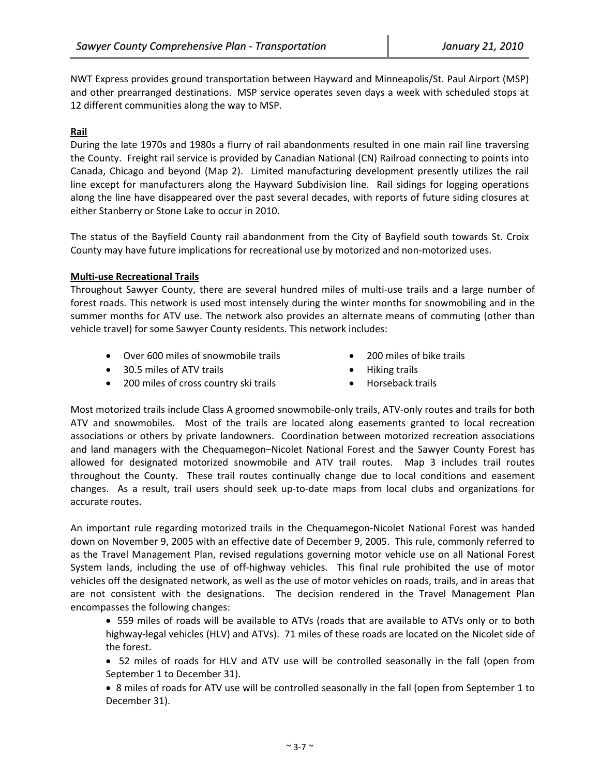NWT Express provides ground transportation between Hayward and Minneapolis/St. Paul Airport (MSP) and other prearranged destinations. MSP service operates seven days a week with scheduled stops at 12 different communities along the way to MSP.

### **Rail**

During the late 1970s and 1980s a flurry of rail abandonments resulted in one main rail line traversing the County. Freight rail service is provided by Canadian National (CN) Railroad connecting to points into Canada, Chicago and beyond (Map 2). Limited manufacturing development presently utilizes the rail line except for manufacturers along the Hayward Subdivision line. Rail sidings for logging operations along the line have disappeared over the past several decades, with reports of future siding closures at either Stanberry or Stone Lake to occur in 2010.

The status of the Bayfield County rail abandonment from the City of Bayfield south towards St. Croix County may have future implications for recreational use by motorized and non‐motorized uses.

#### **Multi‐use Recreational Trails**

Throughout Sawyer County, there are several hundred miles of multi-use trails and a large number of forest roads. This network is used most intensely during the winter months for snowmobiling and in the summer months for ATV use. The network also provides an alternate means of commuting (other than vehicle travel) for some Sawyer County residents. This network includes:

- Over 600 miles of snowmobile trails 200 miles of bike trails
	-
- 30.5 miles of ATV trails **EXECUTE:** The Miking trails **•** Hiking trails
- 200 miles of cross country ski trails Horseback trails

Most motorized trails include Class A groomed snowmobile‐only trails, ATV‐only routes and trails for both ATV and snowmobiles. Most of the trails are located along easements granted to local recreation associations or others by private landowners. Coordination between motorized recreation associations and land managers with the Chequamegon–Nicolet National Forest and the Sawyer County Forest has allowed for designated motorized snowmobile and ATV trail routes. Map 3 includes trail routes throughout the County. These trail routes continually change due to local conditions and easement changes. As a result, trail users should seek up‐to‐date maps from local clubs and organizations for accurate routes.

An important rule regarding motorized trails in the Chequamegon‐Nicolet National Forest was handed down on November 9, 2005 with an effective date of December 9, 2005. This rule, commonly referred to as the Travel Management Plan, revised regulations governing motor vehicle use on all National Forest System lands, including the use of off-highway vehicles. This final rule prohibited the use of motor vehicles off the designated network, as well as the use of motor vehicles on roads, trails, and in areas that are not consistent with the designations. The decision rendered in the Travel Management Plan encompasses the following changes:

 559 miles of roads will be available to ATVs (roads that are available to ATVs only or to both highway-legal vehicles (HLV) and ATVs). 71 miles of these roads are located on the Nicolet side of the forest.

 52 miles of roads for HLV and ATV use will be controlled seasonally in the fall (open from September 1 to December 31).

 8 miles of roads for ATV use will be controlled seasonally in the fall (open from September 1 to December 31).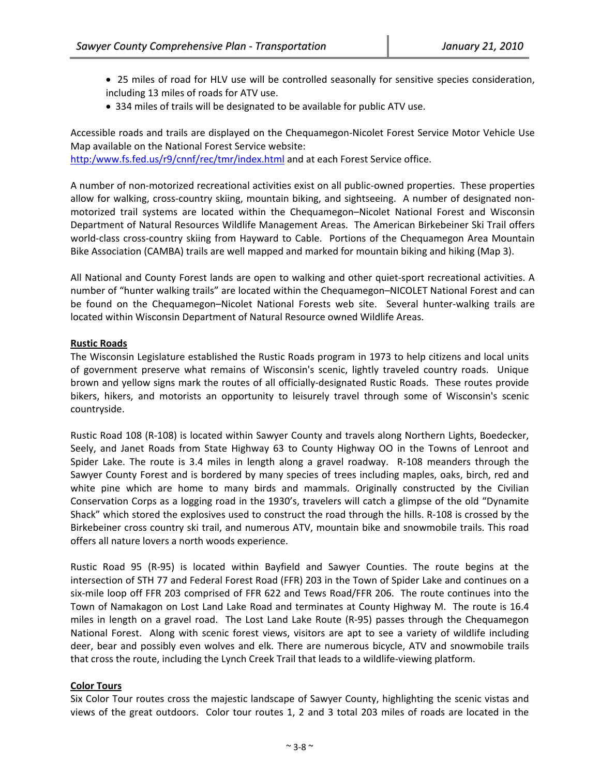- 25 miles of road for HLV use will be controlled seasonally for sensitive species consideration, including 13 miles of roads for ATV use.
- 334 miles of trails will be designated to be available for public ATV use.

Accessible roads and trails are displayed on the Chequamegon‐Nicolet Forest Service Motor Vehicle Use Map available on the National Forest Service website:

http:/www.fs.fed.us/r9/cnnf/rec/tmr/index.html and at each Forest Service office.

A number of non‐motorized recreational activities exist on all public‐owned properties. These properties allow for walking, cross-country skiing, mountain biking, and sightseeing. A number of designated nonmotorized trail systems are located within the Chequamegon–Nicolet National Forest and Wisconsin Department of Natural Resources Wildlife Management Areas. The American Birkebeiner Ski Trail offers world-class cross-country skiing from Hayward to Cable. Portions of the Chequamegon Area Mountain Bike Association (CAMBA) trails are well mapped and marked for mountain biking and hiking (Map 3).

All National and County Forest lands are open to walking and other quiet‐sport recreational activities. A number of "hunter walking trails" are located within the Chequamegon–NICOLET National Forest and can be found on the Chequamegon–Nicolet National Forests web site. Several hunter-walking trails are located within Wisconsin Department of Natural Resource owned Wildlife Areas.

### **Rustic Roads**

The Wisconsin Legislature established the Rustic Roads program in 1973 to help citizens and local units of government preserve what remains of Wisconsin's scenic, lightly traveled country roads. Unique brown and yellow signs mark the routes of all officially‐designated Rustic Roads. These routes provide bikers, hikers, and motorists an opportunity to leisurely travel through some of Wisconsin's scenic countryside.

Rustic Road 108 (R‐108) is located within Sawyer County and travels along Northern Lights, Boedecker, Seely, and Janet Roads from State Highway 63 to County Highway OO in the Towns of Lenroot and Spider Lake. The route is 3.4 miles in length along a gravel roadway. R-108 meanders through the Sawyer County Forest and is bordered by many species of trees including maples, oaks, birch, red and white pine which are home to many birds and mammals. Originally constructed by the Civilian Conservation Corps as a logging road in the 1930's, travelers will catch a glimpse of the old "Dynamite Shack" which stored the explosives used to construct the road through the hills. R‐108 is crossed by the Birkebeiner cross country ski trail, and numerous ATV, mountain bike and snowmobile trails. This road offers all nature lovers a north woods experience.

Rustic Road 95 (R‐95) is located within Bayfield and Sawyer Counties. The route begins at the intersection of STH 77 and Federal Forest Road (FFR) 203 in the Town of Spider Lake and continues on a six-mile loop off FFR 203 comprised of FFR 622 and Tews Road/FFR 206. The route continues into the Town of Namakagon on Lost Land Lake Road and terminates at County Highway M. The route is 16.4 miles in length on a gravel road. The Lost Land Lake Route (R-95) passes through the Chequamegon National Forest. Along with scenic forest views, visitors are apt to see a variety of wildlife including deer, bear and possibly even wolves and elk. There are numerous bicycle, ATV and snowmobile trails that cross the route, including the Lynch Creek Trail that leads to a wildlife‐viewing platform.

## **Color Tours**

Six Color Tour routes cross the majestic landscape of Sawyer County, highlighting the scenic vistas and views of the great outdoors. Color tour routes 1, 2 and 3 total 203 miles of roads are located in the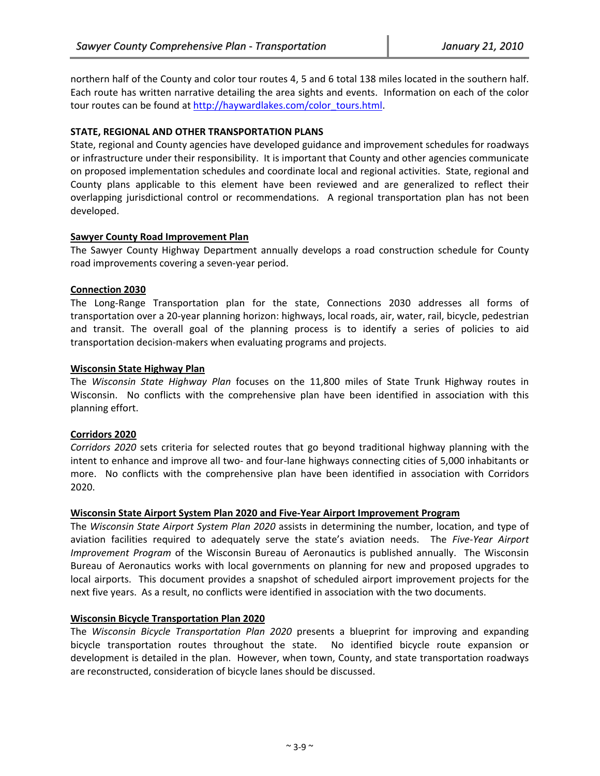northern half of the County and color tour routes 4, 5 and 6 total 138 miles located in the southern half. Each route has written narrative detailing the area sights and events. Information on each of the color tour routes can be found at http://haywardlakes.com/color\_tours.html.

#### **STATE, REGIONAL AND OTHER TRANSPORTATION PLANS**

State, regional and County agencies have developed guidance and improvement schedules for roadways or infrastructure under their responsibility. It is important that County and other agencies communicate on proposed implementation schedules and coordinate local and regional activities. State, regional and County plans applicable to this element have been reviewed and are generalized to reflect their overlapping jurisdictional control or recommendations. A regional transportation plan has not been developed.

#### **Sawyer County Road Improvement Plan**

The Sawyer County Highway Department annually develops a road construction schedule for County road improvements covering a seven‐year period.

#### **Connection 2030**

The Long‐Range Transportation plan for the state, Connections 2030 addresses all forms of transportation over a 20‐year planning horizon: highways, local roads, air, water, rail, bicycle, pedestrian and transit. The overall goal of the planning process is to identify a series of policies to aid transportation decision‐makers when evaluating programs and projects.

#### **Wisconsin State Highway Plan**

The *Wisconsin State Highway Plan* focuses on the 11,800 miles of State Trunk Highway routes in Wisconsin. No conflicts with the comprehensive plan have been identified in association with this planning effort.

### **Corridors 2020**

*Corridors 2020* sets criteria for selected routes that go beyond traditional highway planning with the intent to enhance and improve all two‐ and four‐lane highways connecting cities of 5,000 inhabitants or more. No conflicts with the comprehensive plan have been identified in association with Corridors 2020.

#### **Wisconsin State Airport System Plan 2020 and Five‐Year Airport Improvement Program**

The *Wisconsin State Airport System Plan 2020* assists in determining the number, location, and type of aviation facilities required to adequately serve the state's aviation needs. The *Five‐Year Airport Improvement Program* of the Wisconsin Bureau of Aeronautics is published annually. The Wisconsin Bureau of Aeronautics works with local governments on planning for new and proposed upgrades to local airports. This document provides a snapshot of scheduled airport improvement projects for the next five years. As a result, no conflicts were identified in association with the two documents.

### **Wisconsin Bicycle Transportation Plan 2020**

The *Wisconsin Bicycle Transportation Plan 2020* presents a blueprint for improving and expanding bicycle transportation routes throughout the state. No identified bicycle route expansion or development is detailed in the plan. However, when town, County, and state transportation roadways are reconstructed, consideration of bicycle lanes should be discussed.